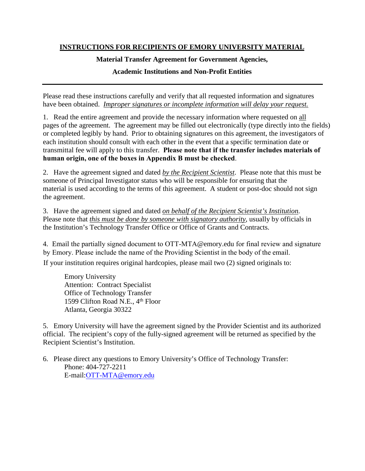# **INSTRUCTIONS FOR RECIPIENTS OF EMORY UNIVERSITY MATERIAL**

## **Material Transfer Agreement for Government Agencies,**

# **Academic Institutions and Non-Profit Entities**

Please read these instructions carefully and verify that all requested information and signatures have been obtained. *Improper signatures or incomplete information will delay your request.*

1. Read the entire agreement and provide the necessary information where requested on all pages of the agreement. The agreement may be filled out electronically (type directly into the fields) or completed legibly by hand. Prior to obtaining signatures on this agreement, the investigators of each institution should consult with each other in the event that a specific termination date or transmittal fee will apply to this transfer. **Please note that if the transfer includes materials of human origin, one of the boxes in Appendix B must be checked**.

2. Have the agreement signed and dated *by the Recipient Scientist*. Please note that this must be someone of Principal Investigator status who will be responsible for ensuring that the material is used according to the terms of this agreement. A student or post-doc should not sign the agreement.

3. Have the agreement signed and dated *on behalf of the Recipient Scientist's Institution*. Please note that *this must be done by someone with signatory authority*, usually by officials in the Institution's Technology Transfer Office or Office of Grants and Contracts.

4. Email the partially signed document to OTT-MTA@emory.edu for final review and signature by Emory. Please include the name of the Providing Scientist in the body of the email.

If your institution requires original hardcopies, please mail two (2) signed originals to:

Emory University Attention: Contract Specialist Office of Technology Transfer 1599 Clifton Road N.E., 4<sup>th</sup> Floor Atlanta, Georgia 30322

5. Emory University will have the agreement signed by the Provider Scientist and its authorized official. The recipient's copy of the fully-signed agreement will be returned as specified by the Recipient Scientist's Institution.

6. Please direct any questions to Emory University's Office of Technology Transfer: Phone: 404-727-2211 E-mail:[OTT-MTA](mailto:OTT-MTA@emory.edu)@emory.edu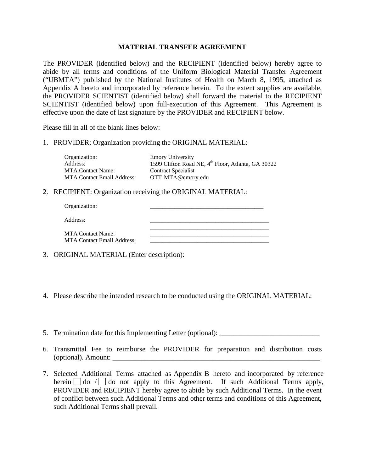## **MATERIAL TRANSFER AGREEMENT**

The PROVIDER (identified below) and the RECIPIENT (identified below) hereby agree to abide by all terms and conditions of the Uniform Biological Material Transfer Agreement ("UBMTA") published by the National Institutes of Health on March 8, 1995, attached as Appendix A hereto and incorporated by reference herein. To the extent supplies are available, the PROVIDER SCIENTIST (identified below) shall forward the material to the RECIPIENT SCIENTIST (identified below) upon full-execution of this Agreement. This Agreement is effective upon the date of last signature by the PROVIDER and RECIPIENT below.

Please fill in all of the blank lines below:

1. PROVIDER: Organization providing the ORIGINAL MATERIAL:

| <b>Emory University</b><br>1599 Clifton Road NE, 4 <sup>th</sup> Floor, Atlanta, GA 30322 |
|-------------------------------------------------------------------------------------------|
| <b>Contract Specialist</b>                                                                |
| OTT-MTA@emory.edu                                                                         |
|                                                                                           |

2. RECIPIENT: Organization receiving the ORIGINAL MATERIAL:

| Organization:                                                 |  |
|---------------------------------------------------------------|--|
| Address:                                                      |  |
| <b>MTA Contact Name:</b><br><b>MTA Contact Email Address:</b> |  |

- 3. ORIGINAL MATERIAL (Enter description):
- 4. Please describe the intended research to be conducted using the ORIGINAL MATERIAL:
- 5. Termination date for this Implementing Letter (optional): \_\_\_\_\_\_\_\_\_\_\_\_\_\_\_\_\_\_\_\_
- 6. Transmittal Fee to reimburse the PROVIDER for preparation and distribution costs  $(optional)$ . Amount:
- 7. Selected Additional Terms attached as Appendix B hereto and incorporated by reference herein  $\Box$  do /  $\Box$  do not apply to this Agreement. If such Additional Terms apply, PROVIDER and RECIPIENT hereby agree to abide by such Additional Terms. In the event of conflict between such Additional Terms and other terms and conditions of this Agreement, such Additional Terms shall prevail.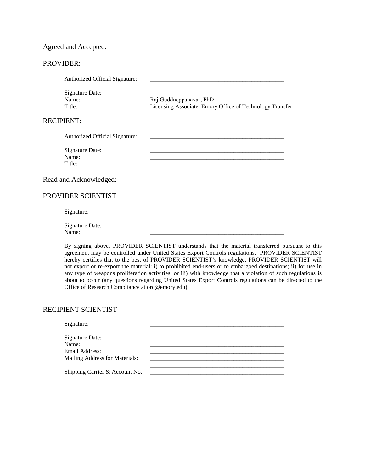## Agreed and Accepted:

### PROVIDER:

| Authorized Official Signature:            |                                                                                     |
|-------------------------------------------|-------------------------------------------------------------------------------------|
| <b>Signature Date:</b><br>Name:<br>Title: | Raj Guddneppanavar, PhD<br>Licensing Associate, Emory Office of Technology Transfer |
| <b>RECIPIENT:</b>                         |                                                                                     |
| Authorized Official Signature:            |                                                                                     |
| <b>Signature Date:</b><br>Name:<br>Title: |                                                                                     |
| Read and Acknowledged:                    |                                                                                     |
| PROVIDER SCIENTIST                        |                                                                                     |
| Signature:                                |                                                                                     |
| Signature Date:                           |                                                                                     |

Name: \_\_\_\_\_\_\_\_\_\_\_\_\_\_\_\_\_\_\_\_\_\_\_\_\_\_\_\_\_\_\_\_\_\_\_\_\_\_\_\_\_\_\_\_\_

By signing above, PROVIDER SCIENTIST understands that the material transferred pursuant to this agreement may be controlled under United States Export Controls regulations. PROVIDER SCIENTIST hereby certifies that to the best of PROVIDER SCIENTIST's knowledge, PROVIDER SCIENTIST will not export or re-export the material: i) to prohibited end-users or to embargoed destinations; ii) for use in any type of weapons proliferation activities, or iii) with knowledge that a violation of such regulations is about to occur (any questions regarding United States Export Controls regulations can be directed to the Office of Research Compliance at orc@emory.edu).

#### RECIPIENT SCIENTIST

| Signature:                      |  |
|---------------------------------|--|
|                                 |  |
| Signature Date:                 |  |
| Name:                           |  |
| Email Address:                  |  |
| Mailing Address for Materials:  |  |
|                                 |  |
| Shipping Carrier & Account No.: |  |
|                                 |  |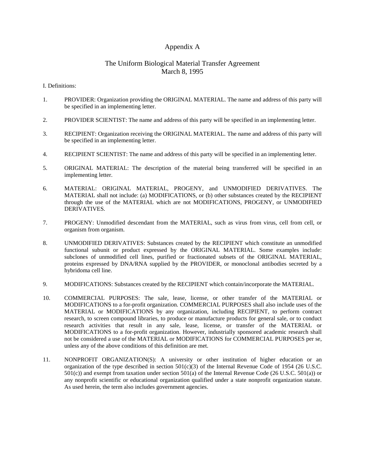## Appendix A

## The Uniform Biological Material Transfer Agreement March 8, 1995

I. Definitions:

- 1. PROVIDER: Organization providing the ORIGINAL MATERIAL. The name and address of this party will be specified in an implementing letter.
- 2. PROVIDER SCIENTIST: The name and address of this party will be specified in an implementing letter.
- 3. RECIPIENT: Organization receiving the ORIGINAL MATERIAL. The name and address of this party will be specified in an implementing letter.
- 4. RECIPIENT SCIENTIST: The name and address of this party will be specified in an implementing letter.
- 5. ORIGINAL MATERIAL: The description of the material being transferred will be specified in an implementing letter.
- 6. MATERIAL: ORIGINAL MATERIAL, PROGENY, and UNMODIFIED DERIVATIVES. The MATERIAL shall not include: (a) MODIFICATIONS, or (b) other substances created by the RECIPIENT through the use of the MATERIAL which are not MODIFICATIONS, PROGENY, or UNMODIFIED DERIVATIVES.
- 7. PROGENY: Unmodified descendant from the MATERIAL, such as virus from virus, cell from cell, or organism from organism.
- 8. UNMODIFIED DERIVATIVES: Substances created by the RECIPIENT which constitute an unmodified functional subunit or product expressed by the ORIGINAL MATERIAL. Some examples include: subclones of unmodified cell lines, purified or fractionated subsets of the ORIGINAL MATERIAL, proteins expressed by DNA/RNA supplied by the PROVIDER, or monoclonal antibodies secreted by a hybridoma cell line.
- 9. MODIFICATIONS: Substances created by the RECIPIENT which contain/incorporate the MATERIAL.
- 10. COMMERCIAL PURPOSES: The sale, lease, license, or other transfer of the MATERIAL or MODIFICATIONS to a for-profit organization. COMMERCIAL PURPOSES shall also include uses of the MATERIAL or MODIFICATIONS by any organization, including RECIPIENT, to perform contract research, to screen compound libraries, to produce or manufacture products for general sale, or to conduct research activities that result in any sale, lease, license, or transfer of the MATERIAL or MODIFICATIONS to a for-profit organization. However, industrially sponsored academic research shall not be considered a use of the MATERIAL or MODIFICATIONS for COMMERCIAL PURPOSES per se, unless any of the above conditions of this definition are met.
- 11. NONPROFIT ORGANIZATION(S): A university or other institution of higher education or an organization of the type described in section 501(c)(3) of the Internal Revenue Code of 1954 (26 U.S.C. 501(c)) and exempt from taxation under section 501(a) of the Internal Revenue Code (26 U.S.C. 501(a)) or any nonprofit scientific or educational organization qualified under a state nonprofit organization statute. As used herein, the term also includes government agencies.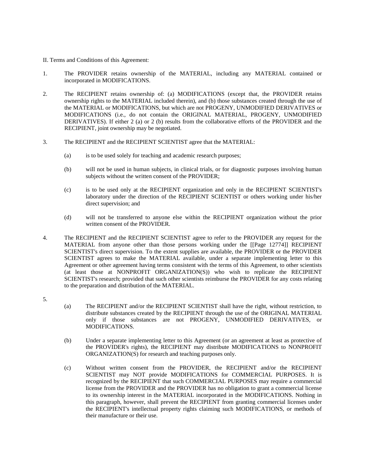- II. Terms and Conditions of this Agreement:
- 1. The PROVIDER retains ownership of the MATERIAL, including any MATERIAL contained or incorporated in MODIFICATIONS.
- 2. The RECIPIENT retains ownership of: (a) MODIFICATIONS (except that, the PROVIDER retains ownership rights to the MATERIAL included therein), and (b) those substances created through the use of the MATERIAL or MODIFICATIONS, but which are not PROGENY, UNMODIFIED DERIVATIVES or MODIFICATIONS (i.e., do not contain the ORIGINAL MATERIAL, PROGENY, UNMODIFIED DERIVATIVES). If either 2 (a) or 2 (b) results from the collaborative efforts of the PROVIDER and the RECIPIENT, joint ownership may be negotiated.
- 3. The RECIPIENT and the RECIPIENT SCIENTIST agree that the MATERIAL:
	- (a) is to be used solely for teaching and academic research purposes;
	- (b) will not be used in human subjects, in clinical trials, or for diagnostic purposes involving human subjects without the written consent of the PROVIDER;
	- (c) is to be used only at the RECIPIENT organization and only in the RECIPIENT SCIENTIST's laboratory under the direction of the RECIPIENT SCIENTIST or others working under his/her direct supervision; and
	- (d) will not be transferred to anyone else within the RECIPIENT organization without the prior written consent of the PROVIDER.
- 4. The RECIPIENT and the RECIPIENT SCIENTIST agree to refer to the PROVIDER any request for the MATERIAL from anyone other than those persons working under the [[Page 12774]] RECIPIENT SCIENTIST's direct supervision. To the extent supplies are available, the PROVIDER or the PROVIDER SCIENTIST agrees to make the MATERIAL available, under a separate implementing letter to this Agreement or other agreement having terms consistent with the terms of this Agreement, to other scientists (at least those at NONPROFIT ORGANIZATION(S)) who wish to replicate the RECIPIENT SCIENTIST's research; provided that such other scientists reimburse the PROVIDER for any costs relating to the preparation and distribution of the MATERIAL.
- 5.
- (a) The RECIPIENT and/or the RECIPIENT SCIENTIST shall have the right, without restriction, to distribute substances created by the RECIPIENT through the use of the ORIGINAL MATERIAL only if those substances are not PROGENY, UNMODIFIED DERIVATIVES, or MODIFICATIONS.
- (b) Under a separate implementing letter to this Agreement (or an agreement at least as protective of the PROVIDER's rights), the RECIPIENT may distribute MODIFICATIONS to NONPROFIT ORGANIZATION(S) for research and teaching purposes only.
- (c) Without written consent from the PROVIDER, the RECIPIENT and/or the RECIPIENT SCIENTIST may NOT provide MODIFICATIONS for COMMERCIAL PURPOSES. It is recognized by the RECIPIENT that such COMMERCIAL PURPOSES may require a commercial license from the PROVIDER and the PROVIDER has no obligation to grant a commercial license to its ownership interest in the MATERIAL incorporated in the MODIFICATIONS. Nothing in this paragraph, however, shall prevent the RECIPIENT from granting commercial licenses under the RECIPIENT's intellectual property rights claiming such MODIFICATIONS, or methods of their manufacture or their use.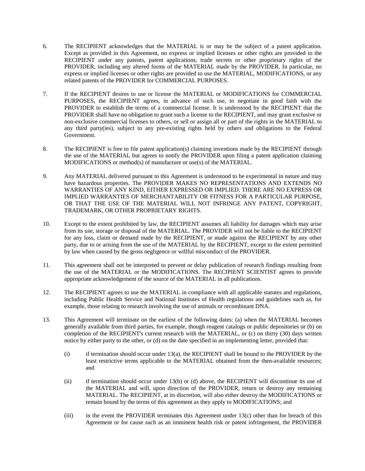- 6. The RECIPIENT acknowledges that the MATERIAL is or may be the subject of a patent application. Except as provided in this Agreement, no express or implied licenses or other rights are provided to the RECIPIENT under any patents, patent applications, trade secrets or other proprietary rights of the PROVIDER, including any altered forms of the MATERIAL made by the PROVIDER. In particular, no express or implied licenses or other rights are provided to use the MATERIAL, MODIFICATIONS, or any related patents of the PROVIDER for COMMERCIAL PURPOSES.
- 7. If the RECIPIENT desires to use or license the MATERIAL or MODIFICATIONS for COMMERCIAL PURPOSES, the RECIPIENT agrees, in advance of such use, to negotiate in good faith with the PROVIDER to establish the terms of a commercial license. It is understood by the RECIPIENT that the PROVIDER shall have no obligation to grant such a license to the RECIPIENT, and may grant exclusive or non-exclusive commercial licenses to others, or sell or assign all or part of the rights in the MATERIAL to any third party(ies), subject to any pre-existing rights held by others and obligations to the Federal Government.
- 8. The RECIPIENT is free to file patent application(s) claiming inventions made by the RECIPIENT through the use of the MATERIAL but agrees to notify the PROVIDER upon filing a patent application claiming MODIFICATIONS or method(s) of manufacture or use(s) of the MATERIAL.
- 9. Any MATERIAL delivered pursuant to this Agreement is understood to be experimental in nature and may have hazardous properties. The PROVIDER MAKES NO REPRESENTATIONS AND EXTENDS NO WARRANTIES OF ANY KIND, EITHER EXPRESSED OR IMPLIED. THERE ARE NO EXPRESS OR IMPLIED WARRANTIES OF MERCHANTABILITY OR FITNESS FOR A PARTICULAR PURPOSE, OR THAT THE USE OF THE MATERIAL WILL NOT INFRINGE ANY PATENT, COPYRIGHT, TRADEMARK, OR OTHER PROPRIETARY RIGHTS.
- 10. Except to the extent prohibited by law, the RECIPIENT assumes all liability for damages which may arise from its use, storage or disposal of the MATERIAL. The PROVIDER will not be liable to the RECIPIENT for any loss, claim or demand made by the RECIPIENT, or made against the RECIPIENT by any other party, due to or arising from the use of the MATERIAL by the RECIPIENT, except to the extent permitted by law when caused by the gross negligence or willful misconduct of the PROVIDER.
- 11. This agreement shall not be interpreted to prevent or delay publication of research findings resulting from the use of the MATERIAL or the MODIFICATIONS. The RECIPIENT SCIENTIST agrees to provide appropriate acknowledgement of the source of the MATERIAL in all publications.
- 12. The RECIPIENT agrees to use the MATERIAL in compliance with all applicable statutes and regulations, including Public Health Service and National Institutes of Health regulations and guidelines such as, for example, those relating to research involving the use of animals or recombinant DNA.
- 13. This Agreement will terminate on the earliest of the following dates: (a) when the MATERIAL becomes generally available from third parties, for example, though reagent catalogs or public depositories or (b) on completion of the RECIPIENT's current research with the MATERIAL, or (c) on thirty (30) days written notice by either party to the other, or (d) on the date specified in an implementing letter, provided that:
	- (i) if termination should occur under 13(a), the RECIPIENT shall be bound to the PROVIDER by the least restrictive terms applicable to the MATERIAL obtained from the then-available resources; and
	- (ii) if termination should occur under 13(b) or (d) above, the RECIPIENT will discontinue its use of the MATERIAL and will, upon direction of the PROVIDER, return or destroy any remaining MATERIAL. The RECIPIENT, at its discretion, will also either destroy the MODIFICATIONS or remain bound by the terms of this agreement as they apply to MODIFICATIONS; and
	- (iii) in the event the PROVIDER terminates this Agreement under 13(c) other than for breach of this Agreement or for cause such as an imminent health risk or patent infringement, the PROVIDER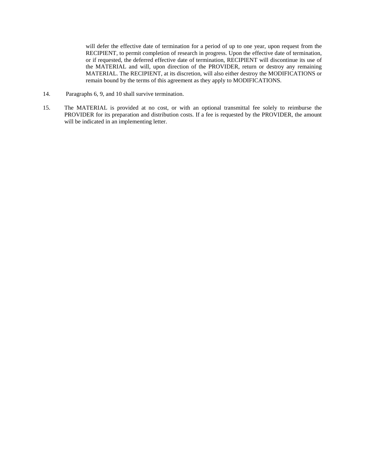will defer the effective date of termination for a period of up to one year, upon request from the RECIPIENT, to permit completion of research in progress. Upon the effective date of termination, or if requested, the deferred effective date of termination, RECIPIENT will discontinue its use of the MATERIAL and will, upon direction of the PROVIDER, return or destroy any remaining MATERIAL. The RECIPIENT, at its discretion, will also either destroy the MODIFICATIONS or remain bound by the terms of this agreement as they apply to MODIFICATIONS.

- 14. Paragraphs 6, 9, and 10 shall survive termination.
- 15. The MATERIAL is provided at no cost, or with an optional transmittal fee solely to reimburse the PROVIDER for its preparation and distribution costs. If a fee is requested by the PROVIDER, the amount will be indicated in an implementing letter.